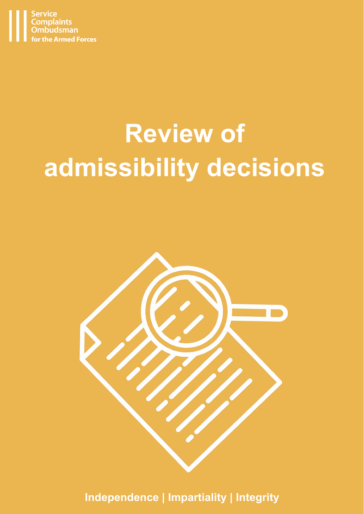

# **Review of admissibility decisions**



**Independence | Impartiality | Integrity**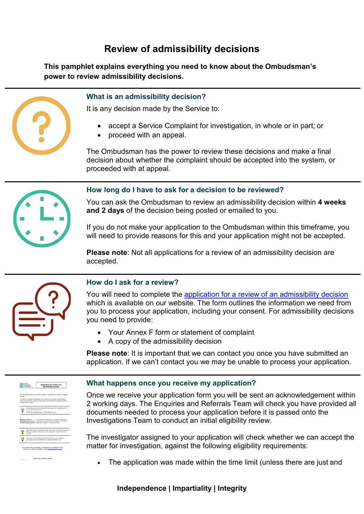# **Review of admissibility decisions**

**This pamphlet explains everything you need to know about the Ombudsman's power to review admissibility decisions.**



# **What is an admissibility decision?**

It is any decision made by the Service to:

- accept a Service Complaint for investigation, in whole or in part; or
- proceed with an appeal.

The Ombudsman has the power to review these decisions and make a final decision about whether the complaint should be accepted into the system, or proceeded with at appeal.



# **How long do I have to ask for a decision to be reviewed?**

You can ask the Ombudsman to review an admissibility decision within **4 weeks and 2 days** of the decision being posted or emailed to you.

If you do not make your application to the Ombudsman within this timeframe, you will need to provide reasons for this and your application might not be accepted.

**Please note**: Not all applications for a review of an admissibility decision are accepted.



# **How do I ask for a review?**

You will need to complete the [application for a review of an admissibility decision](https://www.scoaf.org.uk/download/3892/) which is available on our website. The form outlines the information we need from you to process your application, including your consent. For admissibility decisions you need to provide:

- Your Annex F form or statement of complaint
- A copy of the admissibility decision

**Please note:** It is important that we can contact you once you have submitted an application. If we can't contact you we may be unable to process your application.



# **What happens once you receive my application?**

Once we receive your application form you will be sent an acknowledgement within 2 working days. The Enquiries and Referrals Team will check you have provided all documents needed to process your application before it is passed onto the Investigations Team to conduct an initial eligibility review.

The investigator assigned to your application will check whether we can accept the matter for investigation, against the following eligibility requirements:

The application was made within the time limit (unless there are just and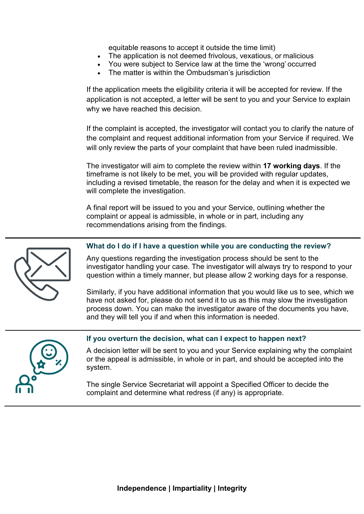equitable reasons to accept it outside the time limit)

- The application is not deemed frivolous, vexatious, or malicious
- You were subject to Service law at the time the 'wrong' occurred
- The matter is within the Ombudsman's jurisdiction

If the application meets the eligibility criteria it will be accepted for review. If the application is not accepted, a letter will be sent to you and your Service to explain why we have reached this decision.

If the complaint is accepted, the investigator will contact you to clarify the nature of the complaint and request additional information from your Service if required. We will only review the parts of your complaint that have been ruled inadmissible.

The investigator will aim to complete the review within **17 working days**. If the timeframe is not likely to be met, you will be provided with regular updates, including a revised timetable, the reason for the delay and when it is expected we will complete the investigation.

A final report will be issued to you and your Service, outlining whether the complaint or appeal is admissible, in whole or in part, including any recommendations arising from the findings.



#### **What do I do if I have a question while you are conducting the review?**

Any questions regarding the investigation process should be sent to the investigator handling your case. The investigator will always try to respond to your question within a timely manner, but please allow 2 working days for a response.

Similarly, if you have additional information that you would like us to see, which we have not asked for, please do not send it to us as this may slow the investigation process down. You can make the investigator aware of the documents you have, and they will tell you if and when this information is needed.



# **If you overturn the decision, what can I expect to happen next?**

A decision letter will be sent to you and your Service explaining why the complaint or the appeal is admissible, in whole or in part, and should be accepted into the system.

The single Service Secretariat will appoint a Specified Officer to decide the complaint and determine what redress (if any) is appropriate.